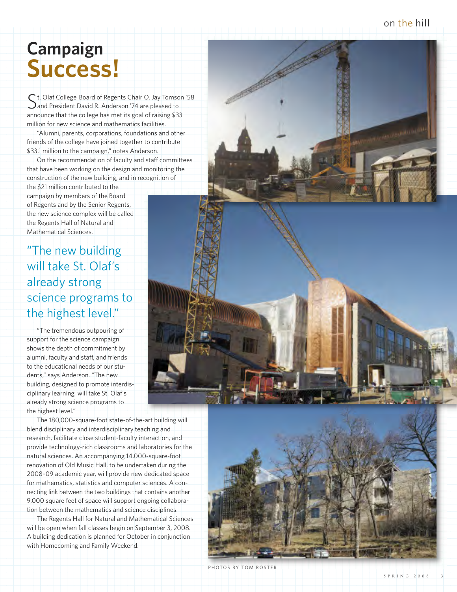on the hill

# **Campaign S u c c e s s !**

S t. Olaf College Board of Regents Chair O. Jay Tomson '58<br>Sand President David R. Anderson '74 are pleased to and President David R. Anderson '74 are pleased to announce that the college has met its goal of raising \$33 million for new science and mathematics facilities.

"Alumni, parents, corporations, foundations and other friends of the college have joined together to contribute \$33.1 million to the campaign," notes Anderson.

On the recommendation of faculty and staff committees that have been working on the design and monitoring the construction of the new building, and in recognition of the \$21 million contributed to the campaign by members of the Board of Regents and by the Senior Regents. the new science complex will be called the Regents Hall of Natural and Mathematical Sciences.

"The new building will take St. Olaf's already strong science programs to the highest level."

"The tremendous outpouring of support for the science campaign shows the depth of commitment by alumni, faculty and staff, and friends to the educational needs of our students," savs Anderson, "The new building, designed to promote interdisciplinary learning, will take St. Olaf's already strong science programs to the highest level."

The 180,000-square-foot state-of-the-art building will blend disciplinary and interdisciplinary teaching and research, facilitate close student-faculty interaction, and provide technology-rich classrooms and laboratories for the natural sciences. An accompanying 14,000-square-foot renovation of Old Music Hall, to be undertaken during the 2008-09 academic year, will provide new dedicated space for mathematics, statistics and computer sciences. A connecting link between the two buildings that contains another 9,000 square feet of space will support ongoing collaboration between the mathematics and science disciplines.

The Regents Hall for Natural and Mathematical Sciences will be open when fall classes begin on September 3, 2008. A building dedication is planned for October in conjunction with Homecoming and Family Weekend.





PHOTOS BY TOM ROSTER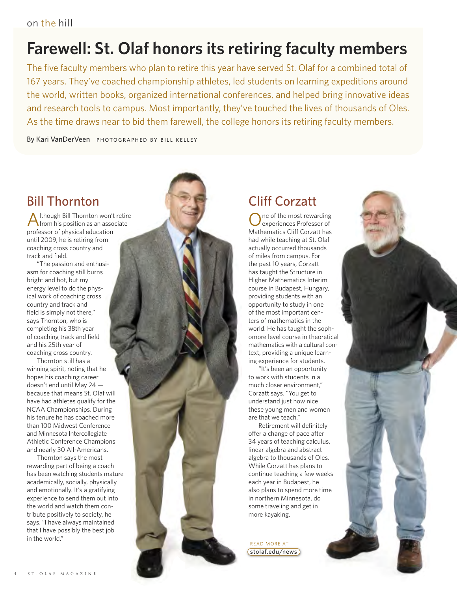## **Farewell: St. Olaf honors its retiring faculty members**

The five faculty members who plan to retire this year have served St. Olaf for a combined total of 167 years. They've coached championship athletes, led students on learning expeditions around the world, written books, organized international conferences, and helped bring innovative ideas and research tools to campus. Most importantly, they've touched the lives of thousands of Oles. As the time draws near to bid them farewell, the college honors its retiring faculty members.

By Kari VanDerVeen PHOTO GRAPHED BY BILL KELLEY

### Bill Thornton

Although Bill Thornton won't retire from his position as an associate professor of physical education until 2009, he is retiring from coaching cross country and track and field.

"The passion and enthusiasm for coaching still burns bright and hot, but my energy level to do the physical work of coaching cross country and track and field is simply not there," says Thornton, who is completing his 38th year of coaching track and field and his 25th year of coaching cross country.

Thornton still has a winning spirit, noting that he hopes his coaching career doesn't end until May 24 because that means St. Olaf will have had athletes qualify for the NCAA Championships. During his tenure he has coached more than 100 Midwest Conference and Minnesota Intercollegiate Athletic Conference Champions and nearly 30 All-Americans.

Thornton says the most rewarding part of being a coach has been watching students mature academically, socially, physically and emotionally. It's a gratifying experience to send them out into the world and watch them contribute positively to society, he says. "I have always maintained that I have possibly the best job in the world."



ne of the most rewarding experiences Professor of Mathematics Cliff Corzatt has had while teaching at St. Olaf actually occurred thousands of miles from campus. For the past 10 years, Corzatt has taught the Structure in Higher Mathematics Interim course in Budapest, Hungary, providing students with an opportunity to study in one of the most important centers of mathematics in the world. He has taught the sophomore level course in theoretical mathematics with a cultural context, providing a unique learning experience for students.

"It's been an opportunity to work with students in a much closer environment," Corzatt says. "You get to understand just how nice these young men and women are that we teach."

Retirement will definitely offer a change of pace after 34 years of teaching calculus, linear algebra and abstract algebra to thousands of Oles. While Corzatt has plans to continue teaching a few weeks each year in Budapest, he also plans to spend more time in northern Minnesota, do some traveling and get in more kayaking.

READ MORE AT stolaf.edu/news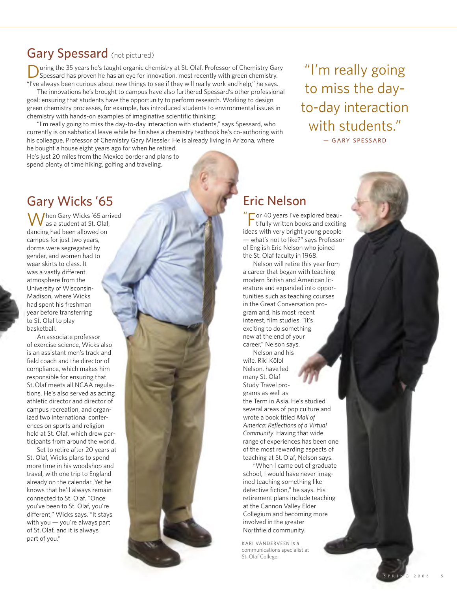### Gary Spessard (not pictured)

uring the 35 years he's taught organic chemistry at St. Olaf, Professor of Chemistry Gary Spessard has proven he has an eye for innovation, most recently with green chemistry. "I've always been curious about new things to see if they will really work and help," he says.

The innovations he's brought to campus have also furthered Spessard's other professional goal: ensuring that students have the opportunity to perform research. Working to design green chemistry processes, for example, has introduced students to environmental issues in chemistry with hands-on examples of imaginative scientific thinking.

"I'm really going to miss the day-to-day interaction with students," says Spessard, who currently is on sabbatical leave while he finishes a chemistry textbook he's co-authoring with his colleague, Professor of Chemistry Gary Miessler. He is already living in Arizona, where he bought a house eight years ago for when he retired.

He's just 20 miles from the Mexico border and plans to spend plenty of time hiking, golfing and traveling.

#### Gary Wicks '65

When Gary Wicks '65 arrived as a student at St. Olaf, dancing had been allowed on campus for just two years, dorms were segregated by gender, and women had to wear skirts to class. It was a vastly different atmosphere from the University of Wisconsin-Madison, where Wicks had spent his freshman year before transferring to St. Olaf to play basketball.

An associate professor of exercise science, Wicks also is an assistant men's track and field coach and the director of compliance, which makes him responsible for ensuring that St.Olaf meets all NCAA regulations. He's also served as acting athletic director and director of campus recreation, and organized two international conferences on sports and religion held at St. Olaf, which drew participants from around the world.

Set to retire after 20 years at St. Olaf, Wicks plans to spend more time in his woodshop and travel, with one trip to England already on the calendar. Yet he knows that he'll always remain connected to St. Olaf. "Once you've been to St. Olaf, you're different," Wicks says. "It stays with you — you're always part of St.Olaf, and it is always part of you."

### Eric Nelson

 $\mu$ For <sup>40</sup> years I've explored beau-tifully written books and exciting ideas with very bright young people — what's not to like?" says Professor of English Eric Nelson who joined the St. Olaf faculty in 1968.

"I'm really going

to miss the day-

to-day interaction

with students."

- GARY SPESSARD

Nelson will retire this year from a career that began with teaching modern British and American literature and expanded into opportunities such as teaching courses in the Great Conversation program and, his most recent interest, film studies. "It's exciting to do something new at the end of your career," Nelson says.

Nelson and his wife, Riki Kölbl Nelson, have led many St. Olaf Study Travel programs as well as the Term in Asia. He's studied several areas of pop culture and wrote a book titled *Mall of America: Reflections of a Virtual Community*. Having that wide range of experiences has been one of the most rewarding aspects of teaching at St.Olaf, Nelson says.

"When I came out of graduate school, I would have never imagined teaching something like detective fiction," he says. His retirement plans include teaching at the Cannon Valley Elder Collegium and becoming more involved in the greater Northfield community.

KARI VANDERVEEN is a communications specialist at St. Olaf College.